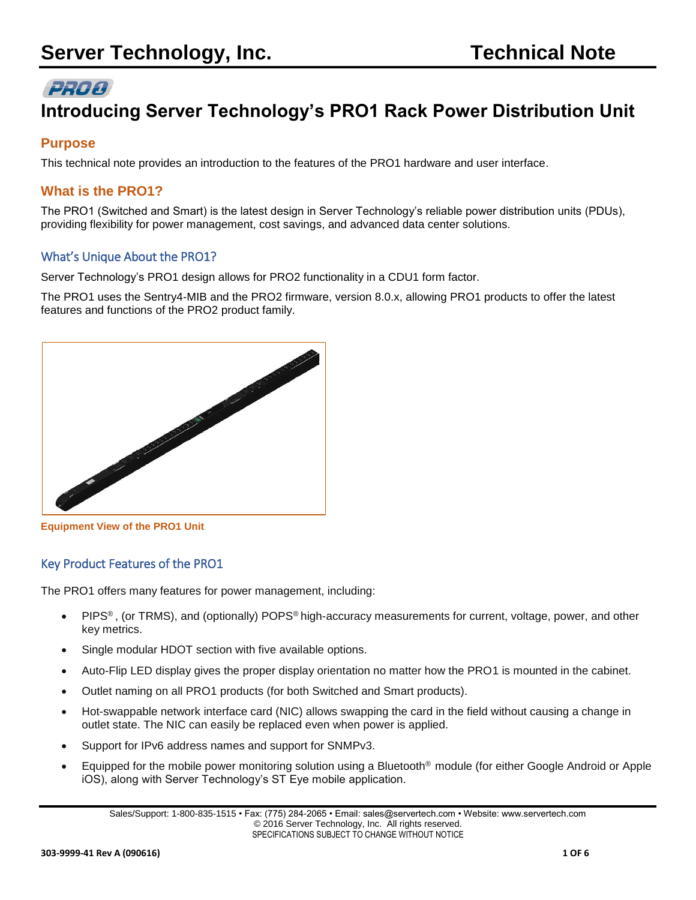# PRO®

# **Introducing Server Technology's PRO1 Rack Power Distribution Unit**

# **Purpose**

This technical note provides an introduction to the features of the PRO1 hardware and user interface.

## **What is the PRO1?**

The PRO1 (Switched and Smart) is the latest design in Server Technology's reliable power distribution units (PDUs), providing flexibility for power management, cost savings, and advanced data center solutions.

## What's Unique About the PRO1?

Server Technology's PRO1 design allows for PRO2 functionality in a CDU1 form factor.

The PRO1 uses the Sentry4-MIB and the PRO2 firmware, version 8.0.x, allowing PRO1 products to offer the latest features and functions of the PRO2 product family.



**Equipment View of the PRO1 Unit**

## Key Product Features of the PRO1

The PRO1 offers many features for power management, including:

- PIPS® , (or TRMS), and (optionally) POPS® high-accuracy measurements for current, voltage, power, and other key metrics.
- Single modular HDOT section with five available options.
- Auto-Flip LED display gives the proper display orientation no matter how the PRO1 is mounted in the cabinet.
- Outlet naming on all PRO1 products (for both Switched and Smart products).
- Hot-swappable network interface card (NIC) allows swapping the card in the field without causing a change in outlet state. The NIC can easily be replaced even when power is applied.
- Support for IPv6 address names and support for SNMPv3.
- Equipped for the mobile power monitoring solution using a Bluetooth® module (for either Google Android or Apple iOS), along with Server Technology's ST Eye mobile application.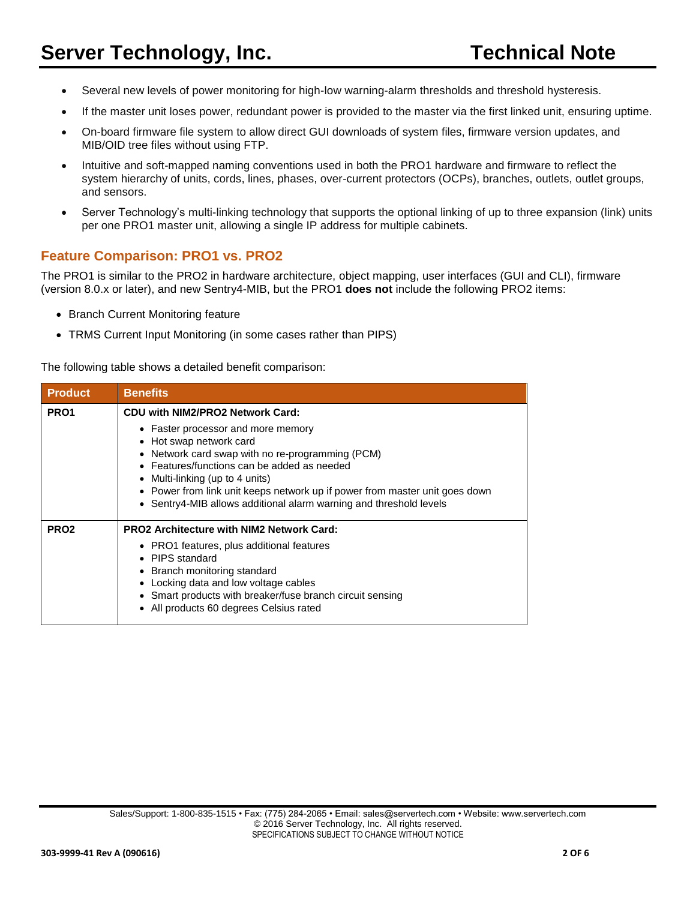- Several new levels of power monitoring for high-low warning-alarm thresholds and threshold hysteresis.
- If the master unit loses power, redundant power is provided to the master via the first linked unit, ensuring uptime.
- On-board firmware file system to allow direct GUI downloads of system files, firmware version updates, and MIB/OID tree files without using FTP.
- Intuitive and soft-mapped naming conventions used in both the PRO1 hardware and firmware to reflect the system hierarchy of units, cords, lines, phases, over-current protectors (OCPs), branches, outlets, outlet groups, and sensors.
- Server Technology's multi-linking technology that supports the optional linking of up to three expansion (link) units per one PRO1 master unit, allowing a single IP address for multiple cabinets.

#### **Feature Comparison: PRO1 vs. PRO2**

The PRO1 is similar to the PRO2 in hardware architecture, object mapping, user interfaces (GUI and CLI), firmware (version 8.0.x or later), and new Sentry4-MIB, but the PRO1 **does not** include the following PRO2 items:

- Branch Current Monitoring feature
- TRMS Current Input Monitoring (in some cases rather than PIPS)

The following table shows a detailed benefit comparison:

| <b>Product</b>   | <b>Benefits</b>                                                                                                                                                                                                                                                                                                                                          |  |  |  |  |
|------------------|----------------------------------------------------------------------------------------------------------------------------------------------------------------------------------------------------------------------------------------------------------------------------------------------------------------------------------------------------------|--|--|--|--|
| PR <sub>O1</sub> | CDU with NIM2/PRO2 Network Card:                                                                                                                                                                                                                                                                                                                         |  |  |  |  |
|                  | • Faster processor and more memory<br>• Hot swap network card<br>• Network card swap with no re-programming (PCM)<br>• Features/functions can be added as needed<br>• Multi-linking (up to 4 units)<br>• Power from link unit keeps network up if power from master unit goes down<br>• Sentry4-MIB allows additional alarm warning and threshold levels |  |  |  |  |
| PRO <sub>2</sub> | <b>PRO2 Architecture with NIM2 Network Card:</b><br>• PRO1 features, plus additional features<br>• PIPS standard<br>• Branch monitoring standard<br>Locking data and low voltage cables<br>Smart products with breaker/fuse branch circuit sensing<br>All products 60 degrees Celsius rated                                                              |  |  |  |  |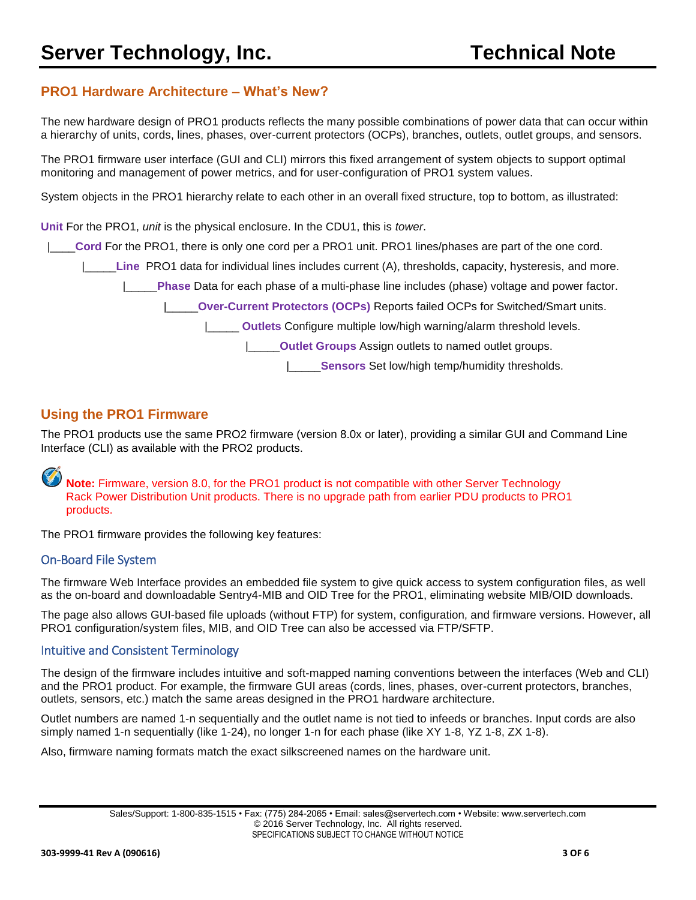## **PRO1 Hardware Architecture – What's New?**

The new hardware design of PRO1 products reflects the many possible combinations of power data that can occur within a hierarchy of units, cords, lines, phases, over-current protectors (OCPs), branches, outlets, outlet groups, and sensors.

The PRO1 firmware user interface (GUI and CLI) mirrors this fixed arrangement of system objects to support optimal monitoring and management of power metrics, and for user-configuration of PRO1 system values.

System objects in the PRO1 hierarchy relate to each other in an overall fixed structure, top to bottom, as illustrated:

**Unit** For the PRO1, *unit* is the physical enclosure. In the CDU1, this is *tower*.

|\_\_\_\_**Cord** For the PRO1, there is only one cord per a PRO1 unit. PRO1 lines/phases are part of the one cord.

|\_\_\_\_\_**Line** PRO1 data for individual lines includes current (A), thresholds, capacity, hysteresis, and more.

|\_\_\_\_\_**Phase** Data for each phase of a multi-phase line includes (phase) voltage and power factor.

|\_\_\_\_\_**Over-Current Protectors (OCPs)** Reports failed OCPs for Switched/Smart units.

**Outlets** Configure multiple low/high warning/alarm threshold levels.

|\_\_\_\_\_**Outlet Groups** Assign outlets to named outlet groups.

|\_\_\_\_\_**Sensors** Set low/high temp/humidity thresholds.

#### **Using the PRO1 Firmware**

The PRO1 products use the same PRO2 firmware (version 8.0x or later), providing a similar GUI and Command Line Interface (CLI) as available with the PRO2 products.

**Note:** Firmware, version 8.0, for the PRO1 product is not compatible with other Server Technology Rack Power Distribution Unit products. There is no upgrade path from earlier PDU products to PRO1 products.

The PRO1 firmware provides the following key features:

#### On-Board File System

The firmware Web Interface provides an embedded file system to give quick access to system configuration files, as well as the on-board and downloadable Sentry4-MIB and OID Tree for the PRO1, eliminating website MIB/OID downloads.

The page also allows GUI-based file uploads (without FTP) for system, configuration, and firmware versions. However, all PRO1 configuration/system files, MIB, and OID Tree can also be accessed via FTP/SFTP.

#### Intuitive and Consistent Terminology

The design of the firmware includes intuitive and soft-mapped naming conventions between the interfaces (Web and CLI) and the PRO1 product. For example, the firmware GUI areas (cords, lines, phases, over-current protectors, branches, outlets, sensors, etc.) match the same areas designed in the PRO1 hardware architecture.

Outlet numbers are named 1-n sequentially and the outlet name is not tied to infeeds or branches. Input cords are also simply named 1-n sequentially (like 1-24), no longer 1-n for each phase (like XY 1-8, YZ 1-8, ZX 1-8).

Also, firmware naming formats match the exact silkscreened names on the hardware unit.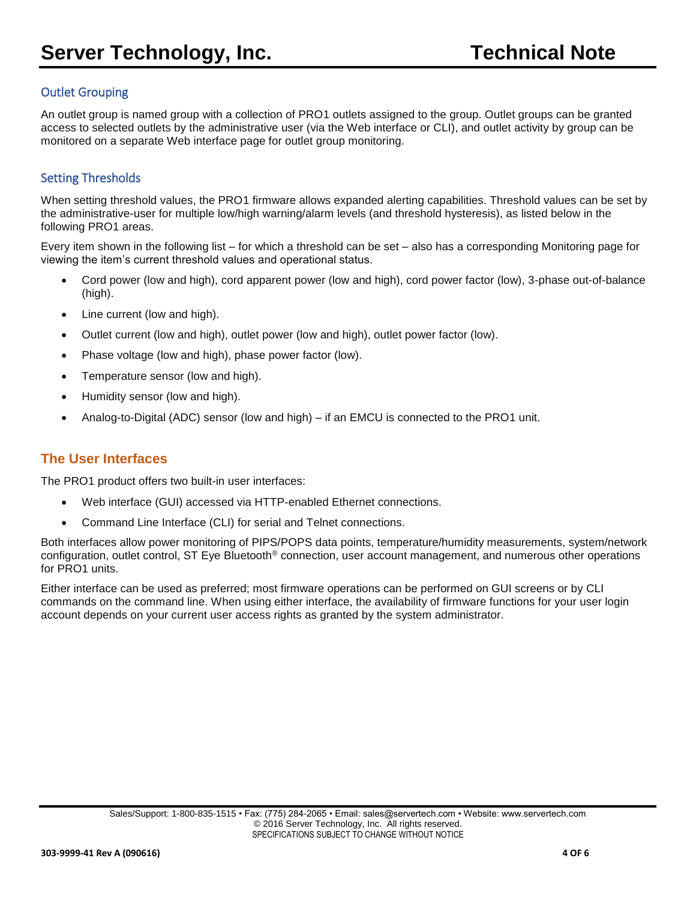#### Outlet Grouping

An outlet group is named group with a collection of PRO1 outlets assigned to the group. Outlet groups can be granted access to selected outlets by the administrative user (via the Web interface or CLI), and outlet activity by group can be monitored on a separate Web interface page for outlet group monitoring.

### Setting Thresholds

When setting threshold values, the PRO1 firmware allows expanded alerting capabilities. Threshold values can be set by the administrative-user for multiple low/high warning/alarm levels (and threshold hysteresis), as listed below in the following PRO1 areas.

Every item shown in the following list – for which a threshold can be set – also has a corresponding Monitoring page for viewing the item's current threshold values and operational status.

- Cord power (low and high), cord apparent power (low and high), cord power factor (low), 3-phase out-of-balance (high).
- Line current (low and high).
- Outlet current (low and high), outlet power (low and high), outlet power factor (low).
- Phase voltage (low and high), phase power factor (low).
- Temperature sensor (low and high).
- Humidity sensor (low and high).
- Analog-to-Digital (ADC) sensor (low and high) if an EMCU is connected to the PRO1 unit.

## **The User Interfaces**

The PRO1 product offers two built-in user interfaces:

- Web interface (GUI) accessed via HTTP-enabled Ethernet connections.
- Command Line Interface (CLI) for serial and Telnet connections.

Both interfaces allow power monitoring of PIPS/POPS data points, temperature/humidity measurements, system/network configuration, outlet control, ST Eye Bluetooth® connection, user account management, and numerous other operations for PRO1 units.

Either interface can be used as preferred; most firmware operations can be performed on GUI screens or by CLI commands on the command line. When using either interface, the availability of firmware functions for your user login account depends on your current user access rights as granted by the system administrator.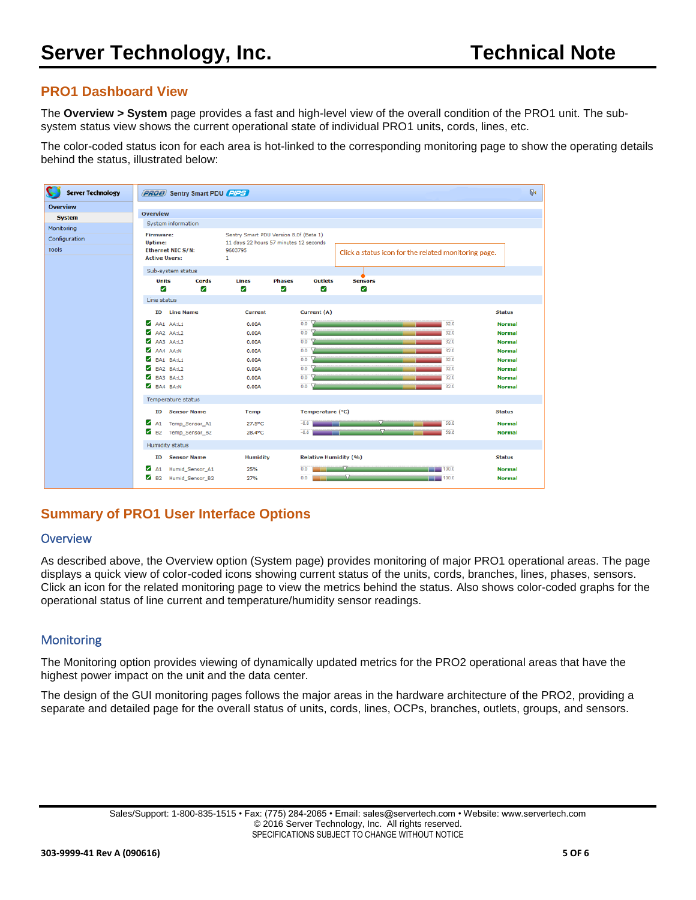## **PRO1 Dashboard View**

The **Overview > System** page provides a fast and high-level view of the overall condition of the PRO1 unit. The subsystem status view shows the current operational state of individual PRO1 units, cords, lines, etc.

The color-coded status icon for each area is hot-linked to the corresponding monitoring page to show the operating details behind the status, illustrated below:



# **Summary of PRO1 User Interface Options**

#### **Overview**

As described above, the Overview option (System page) provides monitoring of major PRO1 operational areas. The page displays a quick view of color-coded icons showing current status of the units, cords, branches, lines, phases, sensors. Click an icon for the related monitoring page to view the metrics behind the status. Also shows color-coded graphs for the operational status of line current and temperature/humidity sensor readings.

#### **Monitoring**

The Monitoring option provides viewing of dynamically updated metrics for the PRO2 operational areas that have the highest power impact on the unit and the data center.

The design of the GUI monitoring pages follows the major areas in the hardware architecture of the PRO2, providing a separate and detailed page for the overall status of units, cords, lines, OCPs, branches, outlets, groups, and sensors.